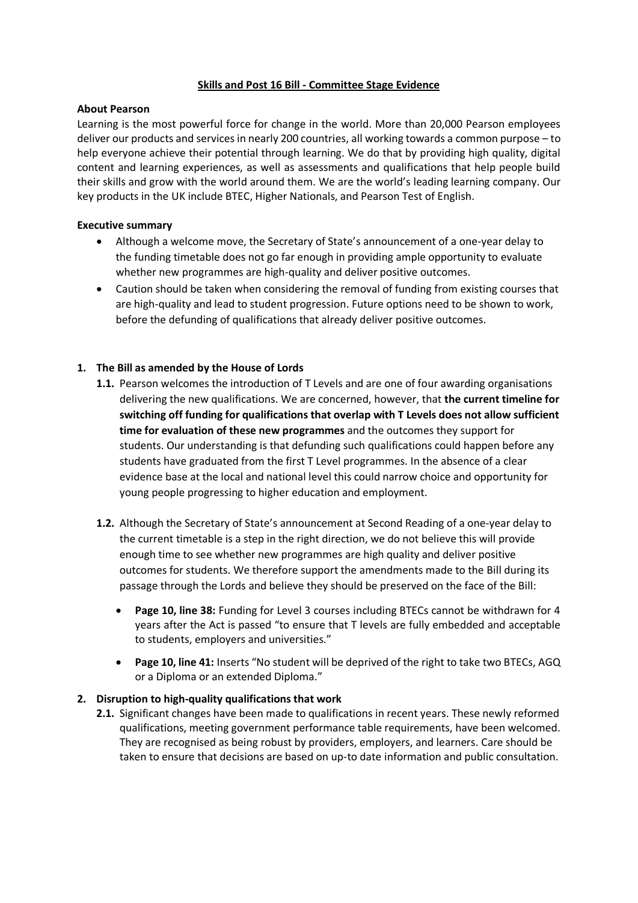### **Skills and Post 16 Bill - Committee Stage Evidence**

#### **About Pearson**

Learning is the most powerful force for change in the world. More than 20,000 Pearson employees deliver our products and services in nearly 200 countries, all working towards a common purpose – to help everyone achieve their potential through learning. We do that by providing high quality, digital content and learning experiences, as well as assessments and qualifications that help people build their skills and grow with the world around them. We are the world's leading learning company. Our key products in the UK include BTEC, Higher Nationals, and Pearson Test of English.

### **Executive summary**

- Although a welcome move, the Secretary of State's announcement of a one-year delay to the funding timetable does not go far enough in providing ample opportunity to evaluate whether new programmes are high-quality and deliver positive outcomes.
- Caution should be taken when considering the removal of funding from existing courses that are high-quality and lead to student progression. Future options need to be shown to work, before the defunding of qualifications that already deliver positive outcomes.

# **1. The Bill as amended by the House of Lords**

- **1.1.** Pearson welcomes the introduction of T Levels and are one of four awarding organisations delivering the new qualifications. We are concerned, however, that **the current timeline for switching off funding for qualifications that overlap with T Levels does not allow sufficient time for evaluation of these new programmes** and the outcomes they support for students. Our understanding is that defunding such qualifications could happen before any students have graduated from the first T Level programmes. In the absence of a clear evidence base at the local and national level this could narrow choice and opportunity for young people progressing to higher education and employment.
- **1.2.** Although the Secretary of State's announcement at Second Reading of a one-year delay to the current timetable is a step in the right direction, we do not believe this will provide enough time to see whether new programmes are high quality and deliver positive outcomes for students. We therefore support the amendments made to the Bill during its passage through the Lords and believe they should be preserved on the face of the Bill:
	- **Page 10, line 38:** Funding for Level 3 courses including BTECs cannot be withdrawn for 4 years after the Act is passed "to ensure that T levels are fully embedded and acceptable to students, employers and universities."
	- **Page 10, line 41:** Inserts "No student will be deprived of the right to take two BTECs, AGQ or a Diploma or an extended Diploma."

#### **2. Disruption to high-quality qualifications that work**

**2.1.** Significant changes have been made to qualifications in recent years. These newly reformed qualifications, meeting government performance table requirements, have been welcomed. They are recognised as being robust by providers, employers, and learners. Care should be taken to ensure that decisions are based on up-to date information and public consultation.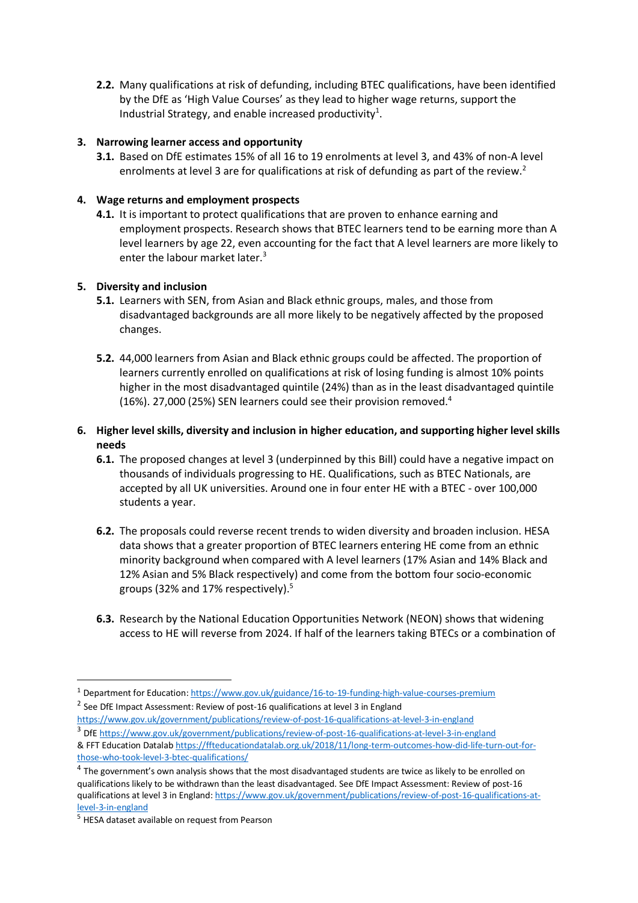**2.2.** Many qualifications at risk of defunding, including BTEC qualifications, have been identified by the DfE as 'High Value Courses' as they lead to higher wage returns, support the Industrial Strategy, and enable increased productivity<sup>1</sup>.

# **3. Narrowing learner access and opportunity**

**3.1.** Based on DfE estimates 15% of all 16 to 19 enrolments at level 3, and 43% of non-A level enrolments at level 3 are for qualifications at risk of defunding as part of the review.<sup>2</sup>

# **4. Wage returns and employment prospects**

**4.1.** It is important to protect qualifications that are proven to enhance earning and employment prospects. Research shows that BTEC learners tend to be earning more than A level learners by age 22, even accounting for the fact that A level learners are more likely to enter the labour market later.<sup>3</sup>

#### **5. Diversity and inclusion**

- **5.1.** Learners with SEN, from Asian and Black ethnic groups, males, and those from disadvantaged backgrounds are all more likely to be negatively affected by the proposed changes.
- **5.2.** 44,000 learners from Asian and Black ethnic groups could be affected. The proportion of learners currently enrolled on qualifications at risk of losing funding is almost 10% points higher in the most disadvantaged quintile (24%) than as in the least disadvantaged quintile (16%). 27,000 (25%) SEN learners could see their provision removed.<sup>4</sup>

# **6. Higher level skills, diversity and inclusion in higher education, and supporting higher level skills needs**

- **6.1.** The proposed changes at level 3 (underpinned by this Bill) could have a negative impact on thousands of individuals progressing to HE. Qualifications, such as BTEC Nationals, are accepted by all UK universities. Around one in four enter HE with a BTEC - over 100,000 students a year.
- **6.2.** The proposals could reverse recent trends to widen diversity and broaden inclusion. HESA data shows that a greater proportion of BTEC learners entering HE come from an ethnic minority background when compared with A level learners (17% Asian and 14% Black and 12% Asian and 5% Black respectively) and come from the bottom four socio-economic groups (32% and 17% respectively). $5$
- **6.3.** Research by the National Education Opportunities Network (NEON) shows that widening access to HE will reverse from 2024. If half of the learners taking BTECs or a combination of

<https://www.gov.uk/government/publications/review-of-post-16-qualifications-at-level-3-in-england> <sup>3</sup> Df[E https://www.gov.uk/government/publications/review-of-post-16-qualifications-at-level-3-in-england](https://www.gov.uk/government/publications/review-of-post-16-qualifications-at-level-3-in-england)

<sup>1</sup> Department for Education[: https://www.gov.uk/guidance/16-to-19-funding-high-value-courses-premium](https://www.gov.uk/guidance/16-to-19-funding-high-value-courses-premium)

 $^{2}$  See DfE Impact Assessment: Review of post-16 qualifications at level 3 in England

<sup>&</sup>amp; FFT Education Datala[b https://ffteducationdatalab.org.uk/2018/11/long-term-outcomes-how-did-life-turn-out-for](https://ffteducationdatalab.org.uk/2018/11/long-term-outcomes-how-did-life-turn-out-for-those-who-took-level-3-btec-qualifications/)[those-who-took-level-3-btec-qualifications/](https://ffteducationdatalab.org.uk/2018/11/long-term-outcomes-how-did-life-turn-out-for-those-who-took-level-3-btec-qualifications/)

<sup>&</sup>lt;sup>4</sup> The government's own analysis shows that the most disadvantaged students are twice as likely to be enrolled on qualifications likely to be withdrawn than the least disadvantaged. See DfE Impact Assessment: Review of post-16 qualifications at level 3 in England: [https://www.gov.uk/government/publications/review-of-post-16-qualifications-at](https://www.gov.uk/government/publications/review-of-post-16-qualifications-at-level-3-in-england)[level-3-in-england](https://www.gov.uk/government/publications/review-of-post-16-qualifications-at-level-3-in-england)

<sup>5</sup> HESA dataset available on request from Pearson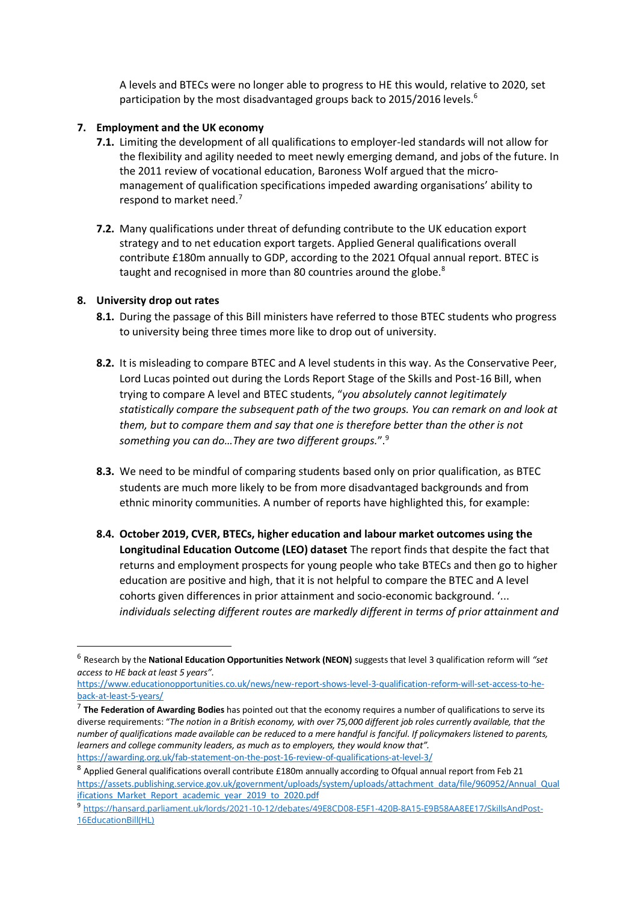A levels and BTECs were no longer able to progress to HE this would, relative to 2020, set participation by the most disadvantaged groups back to 2015/2016 levels.<sup>6</sup>

### **7. Employment and the UK economy**

- **7.1.** Limiting the development of all qualifications to employer-led standards will not allow for the flexibility and agility needed to meet newly emerging demand, and jobs of the future. In the 2011 review of vocational education, Baroness Wolf argued that the micromanagement of qualification specifications impeded awarding organisations' ability to respond to market need.<sup>7</sup>
- **7.2.** Many qualifications under threat of defunding contribute to the UK education export strategy and to net education export targets. Applied General qualifications overall contribute £180m annually to GDP, according to the 2021 Ofqual annual report. BTEC is taught and recognised in more than 80 countries around the globe.<sup>8</sup>

### **8. University drop out rates**

- **8.1.** During the passage of this Bill ministers have referred to those BTEC students who progress to university being three times more like to drop out of university.
- **8.2.** It is misleading to compare BTEC and A level students in this way. As the Conservative Peer, Lord Lucas pointed out during the Lords Report Stage of the Skills and Post-16 Bill, when trying to compare A level and BTEC students, "*you absolutely cannot legitimately statistically compare the subsequent path of the two groups. You can remark on and look at them, but to compare them and say that one is therefore better than the other is not something you can do…They are two different groups.*". 9
- **8.3.** We need to be mindful of comparing students based only on prior qualification, as BTEC students are much more likely to be from more disadvantaged backgrounds and from ethnic minority communities. A number of reports have highlighted this, for example:
- **8.4. October 2019, CVER, BTECs, higher education and labour market outcomes using the Longitudinal Education Outcome (LEO) dataset** The report finds that despite the fact that returns and employment prospects for young people who take BTECs and then go to higher education are positive and high, that it is not helpful to compare the BTEC and A level cohorts given differences in prior attainment and socio-economic background. '... *individuals selecting different routes are markedly different in terms of prior attainment and*

<sup>6</sup> Research by the **National Education Opportunities Network (NEON)** suggests that level 3 qualification reform will *"set access to HE back at least 5 years".*

[https://www.educationopportunities.co.uk/news/new-report-shows-level-3-qualification-reform-will-set-access-to-he](https://www.educationopportunities.co.uk/news/new-report-shows-level-3-qualification-reform-will-set-access-to-he-back-at-least-5-years/)[back-at-least-5-years/](https://www.educationopportunities.co.uk/news/new-report-shows-level-3-qualification-reform-will-set-access-to-he-back-at-least-5-years/)

<sup>7</sup> **The Federation of Awarding Bodies** has pointed out that the economy requires a number of qualifications to serve its diverse requirements: "*The notion in a British economy, with over 75,000 different job roles currently available, that the*  number of qualifications made available can be reduced to a mere handful is fanciful. If policymakers listened to parents, *learners and college community leaders, as much as to employers, they would know that".* <https://awarding.org.uk/fab-statement-on-the-post-16-review-of-qualifications-at-level-3/>

 $^8$  Applied General qualifications overall contribute £180m annually according to Ofqual annual report from Feb 21 [https://assets.publishing.service.gov.uk/government/uploads/system/uploads/attachment\\_data/file/960952/Annual\\_Qual](https://assets.publishing.service.gov.uk/government/uploads/system/uploads/attachment_data/file/960952/Annual_Qualifications_Market_Report_academic_year_2019_to_2020.pdf) [ifications\\_Market\\_Report\\_academic\\_year\\_2019\\_to\\_2020.pdf](https://assets.publishing.service.gov.uk/government/uploads/system/uploads/attachment_data/file/960952/Annual_Qualifications_Market_Report_academic_year_2019_to_2020.pdf)

<sup>9</sup> [https://hansard.parliament.uk/lords/2021-10-12/debates/49E8CD08-E5F1-420B-8A15-E9B58AA8EE17/SkillsAndPost-](https://hansard.parliament.uk/lords/2021-10-12/debates/49E8CD08-E5F1-420B-8A15-E9B58AA8EE17/SkillsAndPost-16EducationBill(HL))[16EducationBill\(HL\)](https://hansard.parliament.uk/lords/2021-10-12/debates/49E8CD08-E5F1-420B-8A15-E9B58AA8EE17/SkillsAndPost-16EducationBill(HL))